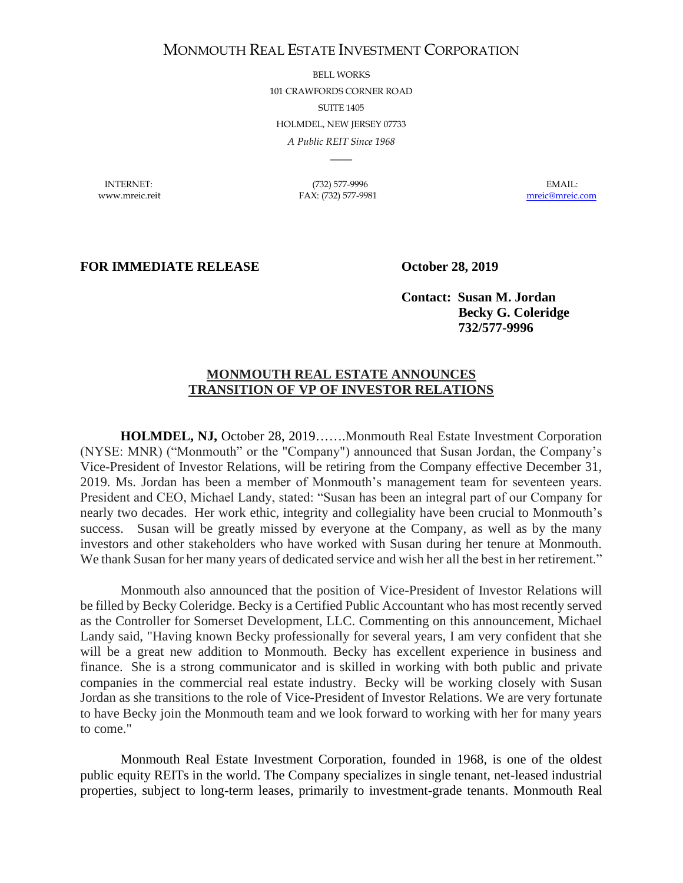## MONMOUTH REAL ESTATE INVESTMENT CORPORATION

BELL WORKS 101 CRAWFORDS CORNER ROAD SUITE 1405 HOLMDEL, NEW JERSEY 07733 *A Public REIT Since 1968*

INTERNET: (732) 577-9996 EMAIL: www.mreic.reit FAX: (732) 577-9981 [mreic@mreic.com](mailto:mreic@mreic.com)

 $\overline{\phantom{a}}$ 

## **FOR IMMEDIATE RELEASE October 28, 2019**

**Contact: Susan M. Jordan Becky G. Coleridge 732/577-9996**

## **MONMOUTH REAL ESTATE ANNOUNCES TRANSITION OF VP OF INVESTOR RELATIONS**

**HOLMDEL, NJ,** October 28, 2019…….Monmouth Real Estate Investment Corporation (NYSE: MNR) ("Monmouth" or the "Company") announced that Susan Jordan, the Company's Vice-President of Investor Relations, will be retiring from the Company effective December 31, 2019. Ms. Jordan has been a member of Monmouth's management team for seventeen years. President and CEO, Michael Landy, stated: "Susan has been an integral part of our Company for nearly two decades. Her work ethic, integrity and collegiality have been crucial to Monmouth's success. Susan will be greatly missed by everyone at the Company, as well as by the many investors and other stakeholders who have worked with Susan during her tenure at Monmouth. We thank Susan for her many years of dedicated service and wish her all the best in her retirement."

Monmouth also announced that the position of Vice-President of Investor Relations will be filled by Becky Coleridge. Becky is a Certified Public Accountant who has most recently served as the Controller for Somerset Development, LLC. Commenting on this announcement, Michael Landy said, "Having known Becky professionally for several years, I am very confident that she will be a great new addition to Monmouth. Becky has excellent experience in business and finance. She is a strong communicator and is skilled in working with both public and private companies in the commercial real estate industry. Becky will be working closely with Susan Jordan as she transitions to the role of Vice-President of Investor Relations. We are very fortunate to have Becky join the Monmouth team and we look forward to working with her for many years to come."

Monmouth Real Estate Investment Corporation, founded in 1968, is one of the oldest public equity REITs in the world. The Company specializes in single tenant, net-leased industrial properties, subject to long-term leases, primarily to investment-grade tenants. Monmouth Real